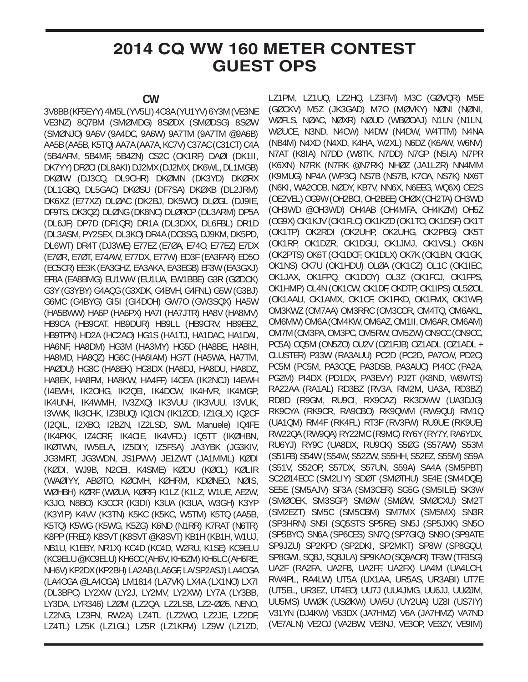## **2014 CQ WW 160 METER CONTEST GUEST OPS**

## **CW**

3V8BB (KF5EYY) 4M5L (YV5LI) 4O3A (YU1YV) 6Y3M (VE3NE VE3NZ) 8Q7BM (SMØMDG) 8SØDX (SMØDSG) 8SØW (SMØNJO) 9A6V (9A4DC, 9A6W) 9A7TM (9A7TM @9A6B) AA5B (AA5B, K5TQ) AA7A (AA7A, KC7V) C37AC (C31CT) C4A (5B4AFM, 5B4MF, 5B4ZN) CS2C (OK1RF) DAØI (DK1II, DK7YY) DFØCI (DL8AKI) DJ2MX (DJ2MX, DK6WL, DL1MGB) DKØIW (DJ3CQ, DL9CHR) DKØMN (DK3YD) DKØRX (DL1GBQ, DL5GAC) DKØSU (DF7SA) DKØXB (DL2JRM) DK6XZ (E77XZ) DLØAC (DK2BJ, DK5WO) DLØGL (DJ9IE, DF9TS, DK3QZ) DLØNG (DK8NC) DLØRCP (DL3ARM) DP5A (DL6JF) DP7D (DF1QR) DR1A (DL3DXX, DL6FBL) DR1D (DL3ASM, PY2SEX, DL3KO) DR4A (DC8SG, DJ9KM, DK5PD, DL6WT) DR4T (DJ3WE) E77EZ (E7ØA, E74O, E77EZ) E7DX (E7ØR, E7ØT, E74AW, E77DX, E77W) ED3F (EA3FAR) ED5O (EC5CR) EE3K (EA3GHZ, EA3AKA, EA3EGB) EF3W (EA3GXJ) EF8A (EA8BMG) EU1WW (EU1UA, EW1BBE) G3R (GØDCK) G3Y (G3YBY) G4AQG (G3XDK, G4BVH, G4FNL) G5W (G3BJ) G6MC (G4BYG) GI5I (GI4DOH) GW7O (GW3SQX) HA5W (HA5BWW) HA6P (HA6PX) HA7I (HA7JTR) HA8V (HA8MV) HB9CA (HB9CAT, HB9DUR) HB9LL (HB9CRV, HB9EBZ, HB9TPN) HD2A (HC2AO) HG1S (HA1TJ, HA1DAC, HA1DAI, HA6NF, HA8DM) HG3M (HA3MY) HG5D (HA8BE, HA8IH, HA8MD, HA8QZ) HG6C (HA6IAM) HG7T (HA5WA, HA7TM, HAØDU) HG8C (HA8EK) HG8DX (HA8DJ, HA8DU, HA8DZ, HA8EK, HA8FM, HA8KW, HA4FF) I4CEA (IK2NCJ) I4EWH (I4EWH, IK2OHG, IK2QEI, IK4DCW, IK4HVR, IK4MGP, IK4UNH, IK4WMH, IV3ZXQ) IK3VUU (IK3VUU, I3VUK, I3VWK, Ik3CHK, IZ3BUQ) IQ1CN (IK1ZOD, IZ1GLX) IQ2CF (I2QIL, I2XBO, I2BZN, IZ2LSD, SWL Manuele) IQ4FE (IK4PKK, IZ4ORF, IK4CIE, IK4VFD.) IQ5TT (IKØHBN, IKØTWN, IW5ELA, IZ5DIY, IZ5FSA) JA3YBK (JG3KIV, JG3MRT, JG3WDN, JS1PWV) JE1ZWT (JA1MML) KØDI (KØDI, WJ9B, N2CEI, K4SME) KØDU (KØCL) KØLIR (WAØIYY, ABØTO, KØCMH, KØHRM, KDØNEO, NØIS, WØHBH) KØRF (WØUA, KØRF) K1LZ (K1LZ, W1UE, AE2W, K3JO, N8BO) K3CCR (K3DI) K3UA (K3UA, W3GH) K3YP (K3YIP) K4VV (K3TN) K5KC (K5KC, W5TM) K5TQ (AA5B, K5TQ) K5WG (K5WG, K5ZG) K6ND (N1RR) K7RAT (N6TR) K8PP (FRED) K8SVT (K8SVT @K8SVT) KB1H (KB1H, W1UJ, NB1U, K1EBY, NR1X) KC4D (KC4D, W2RU, K1SE) KC9ELU (KC9ELU @KC9ELU) KH6CC (AH6V, KH6ZM) KH6LC (AH6RE, NH6V) KP2DX (KP2BH) LA2AB (LA6GF, LA/SP2ASJ) LA4OGA (LA4OGA @LA4OGA) LM1814 (LA7VK) LX4A (LX1NO) LX7I (DL3BPC) LY2XW (LY2J, LY2MV, LY2XW) LY7A (LY3BB, LY3DA, LYR346) LZØM (LZ2QA, LZ2LSB, LZ2-ØØ5, NENO, LZ2NG, LZ3FN, RW2A) LZ4TL (LZ2WO, LZ2JE, LZ2DF, LZ4TL) LZ5K (LZ1GL) LZ5R (LZ1KFM) LZ9W (LZ1ZD,

LZ1PM, LZ1UQ, LZ2HQ, LZ3FM) M3C (GØVQR) M5E (GØCKV) M5Z (JK3GAD) M7O (MØVKY) NØNI (NØNI, WØFLS, NØAC, NØXR) NØUD (WBØOAJ) N1LN (N1LN, WØUCE, N3ND, N4CW) N4DW (N4DW, W4TTM) N4NA (NB4M) N4XD (N4XD, K4HA, W2XL) N6DZ (K6AW, W6NV) N7AT (K8IA) N7DD (W8TK, N7DD) N7GP (N5IA) N7PR (K6XN) N7RK (N7RK @N7RK) NHØZ (JA1LZR) NN4MM (K9MUG) NP4A (WP3C) NS7B (NS7B, K7OA, NS7K) NX6T (N6KI, WA2OOB, NØDY, KB7V, NN6X, N6EEG, WQ6X) OE2S (OE2VEL) OG9W (OH2BCI, OH2BEE) OHØX (OH2TA) OH3WD (OH3WD @OH3WD) OH4AB (OH4MFA, OH4KZM) OH5Z (OG9X) OK1KJV (OK1FLC) OK1KZD (OK1TO, OK1DSF) OK1T (OK1TP) OK2RDI (OK2UHP, OK2UHG, OK2PBG) OK5T (OK1RP, OK1DZR, OK1DGU, OK1JMJ, OK1VSL) OK6N (OK2PTS) OK6T (OK1DCF, OK1DLX) OK7K (OK1BN, OK1GK, OK1NS) OK7U (OK1HDU) OLØA (OK1CZ) OL1C (OK1IEC, OK1JAX, OK1FPQ, OK1DOY) OL3Z (OK1FCJ, OK1FPS, OK1HMP) OL4N (OK1CW, OK1DF, OKDTP, OK1IPS) OL5ØOL (OK1AAU, OK1AMX, OK1CF, OK1FKD, OK1FMX, OK1WF) OM3KWZ (OM7AA) OM3RRC (OM3COR, OM4TQ, OM6AKL, OM6MW) OM6A (OM4KW, OM6AZ, OM1II, OM6AR, OM6AM) OM7M (OM3PA, OM3PC, OM5RW, OM5ZW) ON9CC (ON9CC, PC5A) OQ5M (ON5ZO) OU2V (OZ1FJB) OZ1ADL (OZ1ADL + CLUSTER) P33W (RA3AUU) PC2D (PC2D, PA7CW, PD2C) PC5M (PC5M, PA3CQE, PA3DSB, PA3AUC) PI4CC (PA2A, PG2M) PI4DX (PD1DX, PA3EVY) PJ2T (K8ND, W8WTS) RA22AA (RA1AL) RD3BZ (RV3A, RM2M, UA3A, RD3BZ) RD8D (R9GM, RU9CI, RX9CAZ) RK3DWW (UA3DJG) RK9CYA (RK9CR, RA9CBO) RK9QWM (RW9QU) RM1Q (UA1QM) RM4F (RK4FL) RT3F (RV3FW) RU9UE (RK9UE) RW22QA (RW9QA) RY22MC (R9MC) RY6Y (RY7Y, RA6YDX, RU6YJ) RY9C (UA8DX, RU9CK) S5ØG (S57AW) S53M (S51FB) S54W (S54W, S52ZW, S55HH, S52EZ, S55M) S59A (S51V, S52OP, S57DX, S57UN, S59A) SA4A (SM5PBT) SC2Ø14ECC (SM2LIY) SDØT (SMØTHU) SE4E (SM4DQE) SE5E (SM5AJV) SF3A (SM3CER) SG5G (SM5ILE) SK3W (SMØOEK, SM3SGP) SMØW (SMØW, SMØCXU) SM2T (SM2EZT) SM5C (SM5CBM) SM7MX (SM5MX) SN3R (SP3HRN) SN5I (SQ5STS SP5RE) SN5J (SP5JXK) SN5O (SP5BYC) SN6A (SP6CES) SN7Q (SP7GIQ) SN9O (SP9ATE SP9JZU) SP2KPD (SP2DKI, SP2MKT) SP8W (SP8GQU, SP8GWI, SQ8J, SQ8JLA) SP9KAO (SQ9AOR) TF3W (TF3SG) UA2F (RA2FA, UA2FB, UA2FF, UA2FX) UA4M (UA4LCH, RW4PL, RA4LW) UT5A (UX1AA, UR5AS, UR3ABI) UT7E (UT5EL, UR3EZ, UT4EO) UU7J (UU4JMG, UU6JJ, UUØJM, UU5MS) UWØK (USØKW) UW5U (UY2UA) UZ8I (US7IY) V31YN (DJ4KW) V63DX (JA7HMZ) V6A (JA7HMZ) VA7ND (VE7ALN) VE2OJ (VA2BW, VE3NJ, VE3OP, VE3ZY, VE9IM)